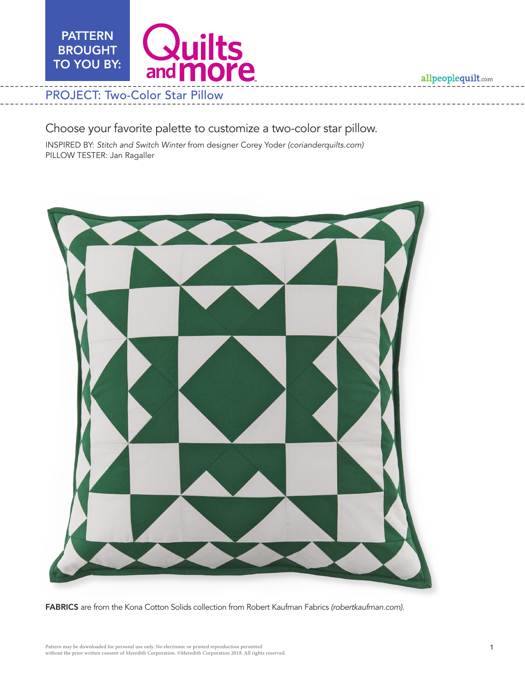**PATTERN** Quilts BROUGHT TO YOU BY: and **more** PROJECT: Two-Color Star Pillow

allpeoplequilt.com

## Choose your favorite palette to customize a two-color star pillow.

INSPIRED BY: *Stitch and Switch Winter* from designer Corey Yoder *(corianderquilts.com)* PILLOW TESTER: Jan Ragaller



FABRICS are from the Kona Cotton Solids collection from Robert Kaufman Fabrics *(robertkaufman.com)*.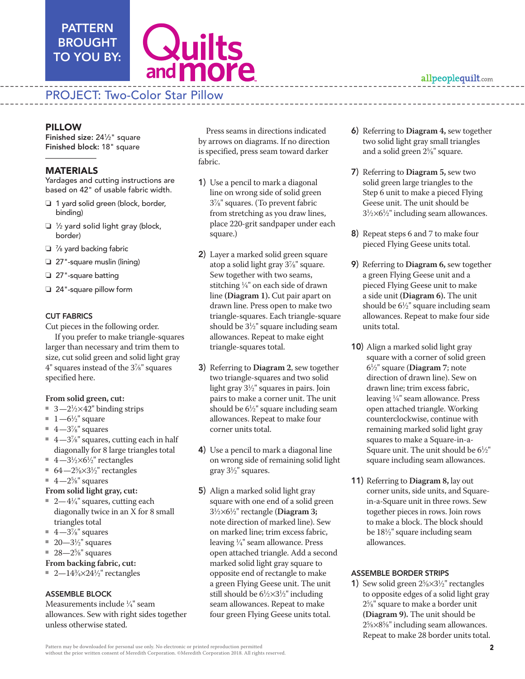## PATTERN BROUGHT TO YOU BY:



## PROJECT: Two-Color Star Pillow

Finished size: 241 ⁄2" square Finished block: 18" square

### MATERIALS

Yardages and cutting instructions are based on 42" of usable fabric width.

- $\Box$  1 yard solid green (block, border, binding)
- $\Box$  1/2 yard solid light gray (block, border)
- $\Box$   $\%$  yard backing fabric
- $\Box$  27"-square muslin (lining)
- $\Box$  27"-square batting
- $\Box$  24"-square pillow form

#### CUT FABRICS

Cut pieces in the following order.

 If you prefer to make triangle-squares larger than necessary and trim them to size, cut solid green and solid light gray 4" squares instead of the 37 ⁄8" squares specified here.

#### **From solid green, cut:**

- $\blacksquare$  3—2<sup>1</sup>/<sub>2</sub>×42" binding strips
- $1 6\frac{1}{2}$ " square
- $\blacksquare$  4—3%" squares
- $\blacksquare$  4—3%" squares, cutting each in half diagonally for 8 large triangles total
- 4—3½ $\times$ 6½" rectangles
- 64 $-2\frac{5}{8} \times 3\frac{1}{2}$ " rectangles
- $4-2\frac{5}{8}$ " squares
- **From solid light gray, cut:**
- $\sqrt{2} 4\frac{1}{4}$ " squares, cutting each diagonally twice in an X for 8 small triangles total
- $\blacksquare$  4—3%" squares
- $\equiv 20 3\frac{1}{2}$ " squares
- $\equiv 28 2\frac{5}{8}$ " squares

#### **From backing fabric, cut:**

■ 2—14¾ $\times$ 24½" rectangles

#### ASSEMBLE BLOCK

Measurements include 1 ⁄4" seam allowances. Sew with right sides together unless otherwise stated.

Press seams in directions indicated by arrows on diagrams. If no direction is specified, press seam toward darker fabric.

- 1) Use a pencil to mark a diagonal line on wrong side of solid green 37 ⁄8" squares. (To prevent fabric from stretching as you draw lines, place 220-grit sandpaper under each square.)
- 2) Layer a marked solid green square atop a solid light gray 37 ⁄8" square. Sew together with two seams, stitching 1 ⁄4" on each side of drawn line **(Diagram 1).** Cut pair apart on drawn line. Press open to make two triangle-squares. Each triangle-square should be  $3\frac{1}{2}$ " square including seam allowances. Repeat to make eight triangle-squares total.
- 3) Referring to **Diagram 2**, sew together two triangle-squares and two solid light gray 31 ⁄2" squares in pairs. Join pairs to make a corner unit. The unit should be  $6\frac{1}{2}$ " square including seam allowances. Repeat to make four corner units total.
- 4) Use a pencil to mark a diagonal line on wrong side of remaining solid light gray 31 ⁄2" squares.
- **PILLOW We can be the contributed in the control in the particle in the control in the control in the control of the control in the control in the control in the control in the control in the control in the control in the** 5) Align a marked solid light gray square with one end of a solid green 31 ⁄2×61 ⁄2" rectangle (**Diagram 3;** note direction of marked line). Sew on marked line; trim excess fabric, leaving 1 ⁄4" seam allowance. Press open attached triangle. Add a second marked solid light gray square to opposite end of rectangle to make a green Flying Geese unit. The unit still should be  $6\frac{1}{2} \times 3\frac{1}{2}$ " including seam allowances. Repeat to make four green Flying Geese units total.
	- 6) Referring to **Diagram 4,** sew together two solid light gray small triangles and a solid green 25 ⁄8" square.
	- 7) Referring to **Diagram 5,** sew two solid green large triangles to the Step 6 unit to make a pieced Flying Geese unit. The unit should be  $3\frac{1}{2}\times6\frac{1}{2}$ " including seam allowances.
	- 8) Repeat steps 6 and 7 to make four pieced Flying Geese units total.
	- 9) Referring to **Diagram 6,** sew together a green Flying Geese unit and a pieced Flying Geese unit to make a side unit **(Diagram 6).** The unit should be  $6\frac{1}{2}$ " square including seam allowances. Repeat to make four side units total.
	- 10) Align a marked solid light gray square with a corner of solid green 61 ⁄2" square (**Diagram 7**; note direction of drawn line). Sew on drawn line; trim excess fabric, leaving 1 ⁄4" seam allowance. Press open attached triangle. Working counterclockwise, continue with remaining marked solid light gray squares to make a Square-in-a-Square unit. The unit should be  $6\frac{1}{2}$ " square including seam allowances.
	- 11) Referring to **Diagram 8,** lay out corner units, side units, and Squarein-a-Square unit in three rows. Sew together pieces in rows. Join rows to make a block. The block should be 181 ⁄2" square including seam allowances.

#### ASSEMBLE BORDER STRIPS

**1)** Sew solid green  $2\frac{5}{8} \times 3\frac{1}{2}$ " rectangles to opposite edges of a solid light gray 25 ⁄8" square to make a border unit **(Diagram 9).** The unit should be 25 ⁄8×85 ⁄8" including seam allowances. Repeat to make 28 border units total.

Pattern may be downloaded for personal use only. No electronic or printed reproduction permitted without the prior written consent of Meredith Corporation. ©Meredith Corporation 2018. All rights reserved.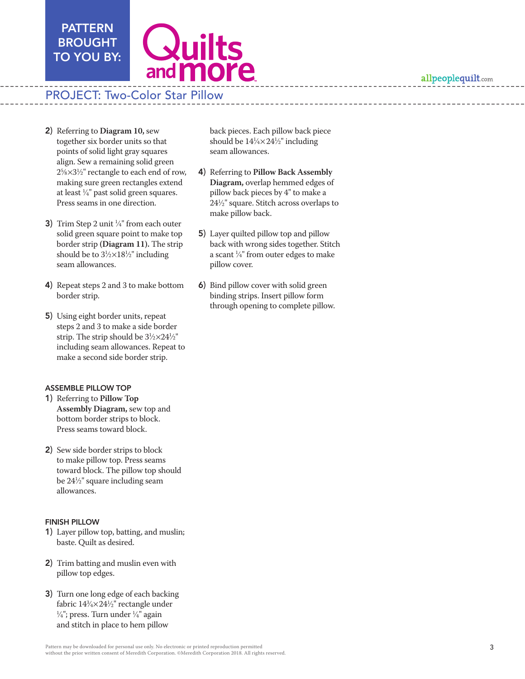allpeoplequilt.com



# PROJECT: Two-Color Star Pillow

2) Referring to **Diagram 10,** sew together six border units so that points of solid light gray squares align. Sew a remaining solid green  $2\frac{5}{8} \times 3\frac{1}{2}$ " rectangle to each end of row, making sure green rectangles extend at least  $\frac{1}{4}$ " past solid green squares. Press seams in one direction.

PATTERN BROUGHT TO YOU BY:

- 3) Trim Step 2 unit  $\frac{1}{4}$ " from each outer solid green square point to make top border strip **(Diagram 11).** The strip should be to  $3\frac{1}{2} \times 18\frac{1}{2}$ " including seam allowances.
- 4) Repeat steps 2 and 3 to make bottom border strip.
- 5) Using eight border units, repeat steps 2 and 3 to make a side border strip. The strip should be  $3\frac{1}{2} \times 24\frac{1}{2}$ " including seam allowances. Repeat to make a second side border strip.

#### ASSEMBLE PILLOW TOP

- 1) Referring to **Pillow Top Assembly Diagram,** sew top and bottom border strips to block. Press seams toward block.
- 2) Sew side border strips to block to make pillow top. Press seams toward block. The pillow top should be 241 ⁄2" square including seam allowances.

#### FINISH PILLOW

- 1) Layer pillow top, batting, and muslin; baste. Quilt as desired.
- 2) Trim batting and muslin even with pillow top edges.
- 3) Turn one long edge of each backing fabric 14¾×24½" rectangle under<br>¼": press. Turn under ¼" again  $\frac{\lambda}{4}$ "; press. Turn under  $\frac{1}{4}$ " again and stitch in place to hem pillow

back pieces. Each pillow back piece should be  $14\frac{1}{4} \times 24\frac{1}{2}$ " including seam allowances.

- 4) Referring to **Pillow Back Assembly Diagram,** overlap hemmed edges of pillow back pieces by 4" to make a 241 ⁄2" square. Stitch across overlaps to make pillow back.
- 5) Layer quilted pillow top and pillow back with wrong sides together. Stitch a scant  $\frac{1}{4}$ " from outer edges to make pillow cover.
- 6) Bind pillow cover with solid green binding strips. Insert pillow form through opening to complete pillow.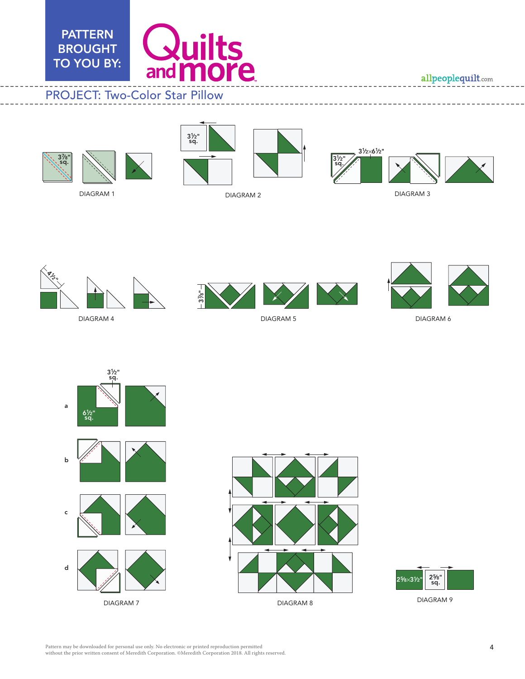

allpeoplequilt.com







DIAGRAM 2



DIAGRAM 3



DIAGRAM 4

DIAGRAM 1



DIAGRAM 5





DIAGRAM 6







DIAGRAM 9